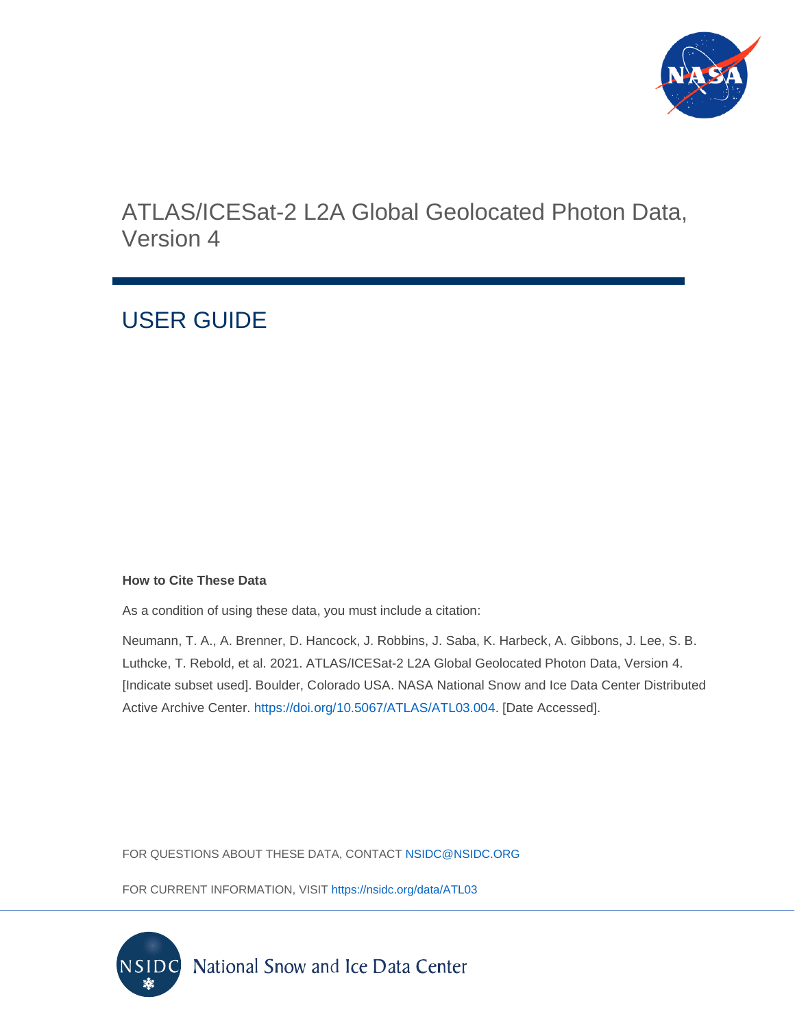

# ATLAS/ICESat-2 L2A Global Geolocated Photon Data, Version 4

# USER GUIDE

#### **How to Cite These Data**

As a condition of using these data, you must include a citation:

Neumann, T. A., A. Brenner, D. Hancock, J. Robbins, J. Saba, K. Harbeck, A. Gibbons, J. Lee, S. B. Luthcke, T. Rebold, et al. 2021. ATLAS/ICESat-2 L2A Global Geolocated Photon Data, Version 4. [Indicate subset used]. Boulder, Colorado USA. NASA National Snow and Ice Data Center Distributed Active Archive Center. [https://doi.org/10.5067/ATLAS/ATL03.004.](https://doi.org/10.5067/ATLAS/ATL03.004) [Date Accessed].

FOR QUESTIONS ABOUT THESE DATA, CONTACT [NSIDC@NSIDC.ORG](mailto:nsidc@nsidc.org)

FOR CURRENT INFORMATION, VISIT<https://nsidc.org/data/ATL03>

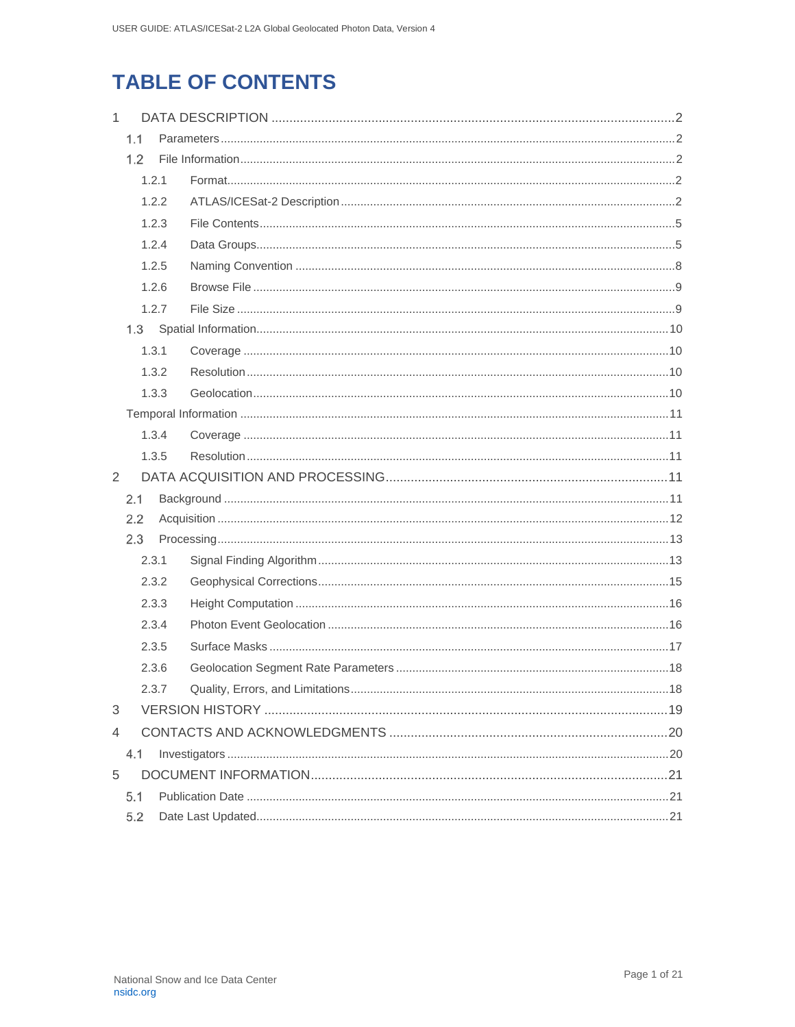# **TABLE OF CONTENTS**

| $\mathbf{1}$ |       |       |  |  |  |  |  |
|--------------|-------|-------|--|--|--|--|--|
|              | 1.1   |       |  |  |  |  |  |
|              | 1.2   |       |  |  |  |  |  |
|              |       | 1.2.1 |  |  |  |  |  |
|              |       | 1.2.2 |  |  |  |  |  |
|              |       | 1.2.3 |  |  |  |  |  |
|              |       | 1.2.4 |  |  |  |  |  |
|              |       | 1.2.5 |  |  |  |  |  |
|              | 1.2.6 |       |  |  |  |  |  |
|              |       | 1.2.7 |  |  |  |  |  |
|              | 1.3   |       |  |  |  |  |  |
|              | 1.3.1 |       |  |  |  |  |  |
|              |       | 1.3.2 |  |  |  |  |  |
|              |       | 1.3.3 |  |  |  |  |  |
|              |       |       |  |  |  |  |  |
|              |       | 1.3.4 |  |  |  |  |  |
|              |       | 1.3.5 |  |  |  |  |  |
| 2            |       |       |  |  |  |  |  |
|              | 2.1   |       |  |  |  |  |  |
|              | 2.2   |       |  |  |  |  |  |
|              | 2.3   |       |  |  |  |  |  |
|              |       | 2.3.1 |  |  |  |  |  |
|              |       | 2.3.2 |  |  |  |  |  |
|              | 2.3.3 |       |  |  |  |  |  |
|              |       | 2.3.4 |  |  |  |  |  |
|              |       | 2.3.5 |  |  |  |  |  |
|              |       | 2.3.6 |  |  |  |  |  |
|              | 2.3.7 |       |  |  |  |  |  |
| 3            |       |       |  |  |  |  |  |
| 4            |       |       |  |  |  |  |  |
| 4.1          |       |       |  |  |  |  |  |
| 5            |       |       |  |  |  |  |  |
|              | 5.1   |       |  |  |  |  |  |
|              |       |       |  |  |  |  |  |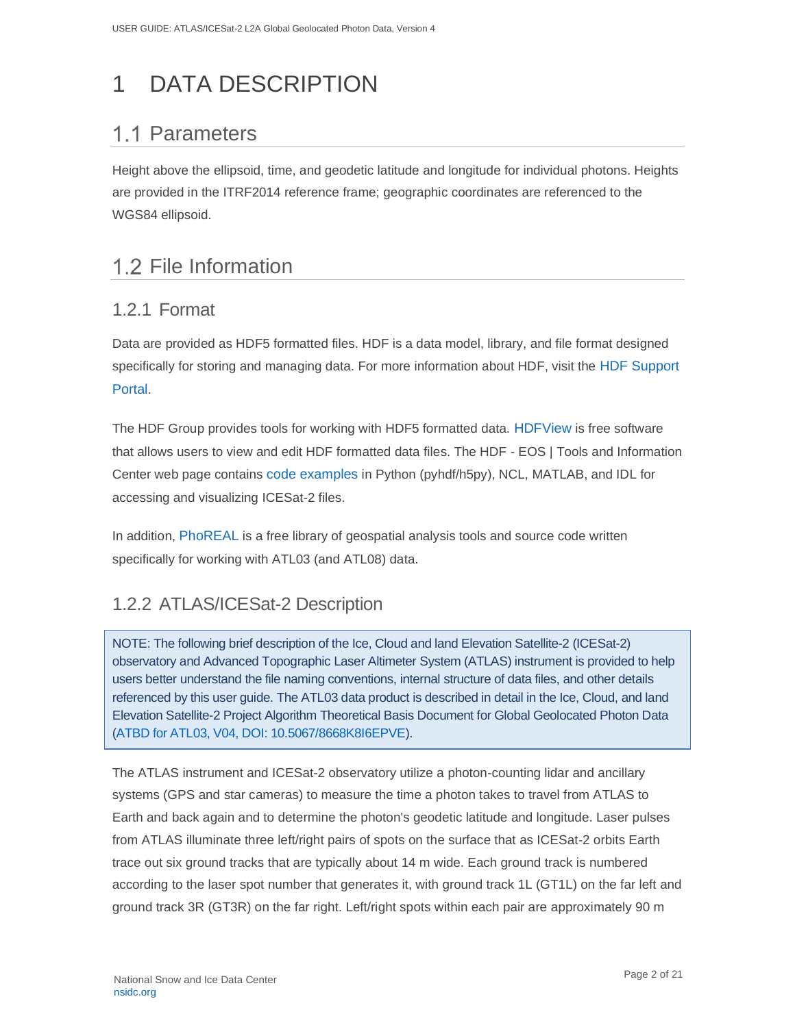# <span id="page-2-0"></span>1 DATA DESCRIPTION

# <span id="page-2-1"></span>1.1 Parameters

Height above the ellipsoid, time, and geodetic latitude and longitude for individual photons. Heights are provided in the ITRF2014 reference frame; geographic coordinates are referenced to the WGS84 ellipsoid.

# <span id="page-2-2"></span>1.2 File Information

## <span id="page-2-3"></span>1.2.1 Format

Data are provided as HDF5 formatted files. HDF is a data model, library, and file format designed specifically for storing and managing data. For more information about HDF, visit the [HDF Support](https://portal.hdfgroup.org/display/support)  [Portal](https://portal.hdfgroup.org/display/support).

The HDF Group provides tools for working with HDF5 formatted data. [HDFView](https://portal.hdfgroup.org/display/support/Download+HDFView) is free software that allows users to view and edit HDF formatted data files. The HDF - EOS | Tools and Information Center web page contains [code examples](https://hdfeos.org/zoo/index_openICESat2_Examples.php#ATL) in Python (pyhdf/h5py), NCL, MATLAB, and IDL for accessing and visualizing ICESat-2 files.

In addition, [PhoREAL](https://github.com/icesat-2UT/PhoREAL) is a free library of geospatial analysis tools and source code written specifically for working with ATL03 (and ATL08) data.

# <span id="page-2-4"></span>1.2.2 ATLAS/ICESat-2 Description

NOTE: The following brief description of the Ice, Cloud and land Elevation Satellite-2 (ICESat-2) observatory and Advanced Topographic Laser Altimeter System (ATLAS) instrument is provided to help users better understand the file naming conventions, internal structure of data files, and other details referenced by this user guide. The ATL03 data product is described in detail in the Ice, Cloud, and land Elevation Satellite-2 Project Algorithm Theoretical Basis Document for Global Geolocated Photon Data [\(ATBD for ATL03, V04, DOI: 10.5067/8668K8I6EPVE\)](https://nsidc.org/sites/nsidc.org/files/technical-references/ICESat2_ATL03_ATBD_r004.pdf).

The ATLAS instrument and ICESat-2 observatory utilize a photon-counting lidar and ancillary systems (GPS and star cameras) to measure the time a photon takes to travel from ATLAS to Earth and back again and to determine the photon's geodetic latitude and longitude. Laser pulses from ATLAS illuminate three left/right pairs of spots on the surface that as ICESat-2 orbits Earth trace out six ground tracks that are typically about 14 m wide. Each ground track is numbered according to the laser spot number that generates it, with ground track 1L (GT1L) on the far left and ground track 3R (GT3R) on the far right. Left/right spots within each pair are approximately 90 m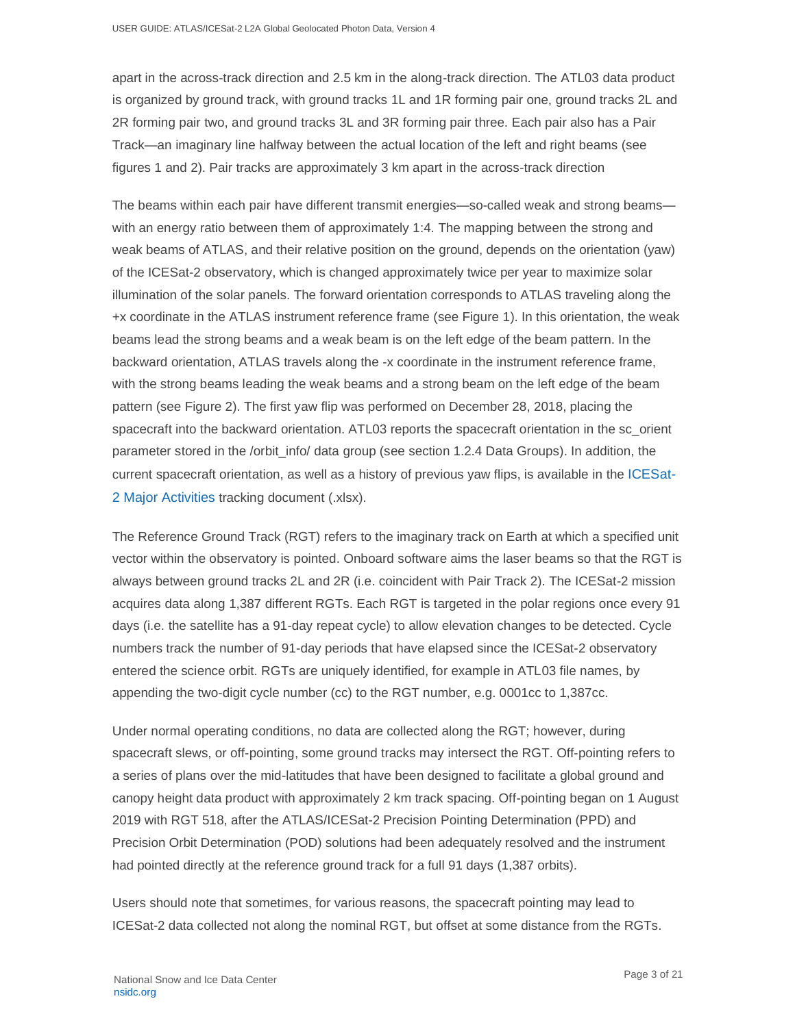apart in the across-track direction and 2.5 km in the along-track direction. The ATL03 data product is organized by ground track, with ground tracks 1L and 1R forming pair one, ground tracks 2L and 2R forming pair two, and ground tracks 3L and 3R forming pair three. Each pair also has a Pair Track—an imaginary line halfway between the actual location of the left and right beams (see figures 1 and 2). Pair tracks are approximately 3 km apart in the across-track direction

The beams within each pair have different transmit energies—so-called weak and strong beams with an energy ratio between them of approximately 1:4. The mapping between the strong and weak beams of ATLAS, and their relative position on the ground, depends on the orientation (yaw) of the ICESat-2 observatory, which is changed approximately twice per year to maximize solar illumination of the solar panels. The forward orientation corresponds to ATLAS traveling along the +x coordinate in the ATLAS instrument reference frame (see Figure 1). In this orientation, the weak beams lead the strong beams and a weak beam is on the left edge of the beam pattern. In the backward orientation, ATLAS travels along the -x coordinate in the instrument reference frame, with the strong beams leading the weak beams and a strong beam on the left edge of the beam pattern (see Figure 2). The first yaw flip was performed on December 28, 2018, placing the spacecraft into the backward orientation. ATL03 reports the spacecraft orientation in the sc\_orient parameter stored in the /orbit\_info/ data group (see section 1.2.4 Data Groups). In addition, the current spacecraft orientation, as well as a history of previous yaw flips, is available in the [ICESat-](https://nsidc.org/sites/nsidc.org/files/technical-references/ICESat2_major_activities.xlsx)[2 Major Activities](https://nsidc.org/sites/nsidc.org/files/technical-references/ICESat2_major_activities.xlsx) tracking document (.xlsx).

The Reference Ground Track (RGT) refers to the imaginary track on Earth at which a specified unit vector within the observatory is pointed. Onboard software aims the laser beams so that the RGT is always between ground tracks 2L and 2R (i.e. coincident with Pair Track 2). The ICESat-2 mission acquires data along 1,387 different RGTs. Each RGT is targeted in the polar regions once every 91 days (i.e. the satellite has a 91-day repeat cycle) to allow elevation changes to be detected. Cycle numbers track the number of 91-day periods that have elapsed since the ICESat-2 observatory entered the science orbit. RGTs are uniquely identified, for example in ATL03 file names, by appending the two-digit cycle number (cc) to the RGT number, e.g. 0001cc to 1,387cc.

Under normal operating conditions, no data are collected along the RGT; however, during spacecraft slews, or off-pointing, some ground tracks may intersect the RGT. Off-pointing refers to a series of plans over the mid-latitudes that have been designed to facilitate a global ground and canopy height data product with approximately 2 km track spacing. Off-pointing began on 1 August 2019 with RGT 518, after the ATLAS/ICESat-2 Precision Pointing Determination (PPD) and Precision Orbit Determination (POD) solutions had been adequately resolved and the instrument had pointed directly at the reference ground track for a full 91 days (1,387 orbits).

Users should note that sometimes, for various reasons, the spacecraft pointing may lead to ICESat-2 data collected not along the nominal RGT, but offset at some distance from the RGTs.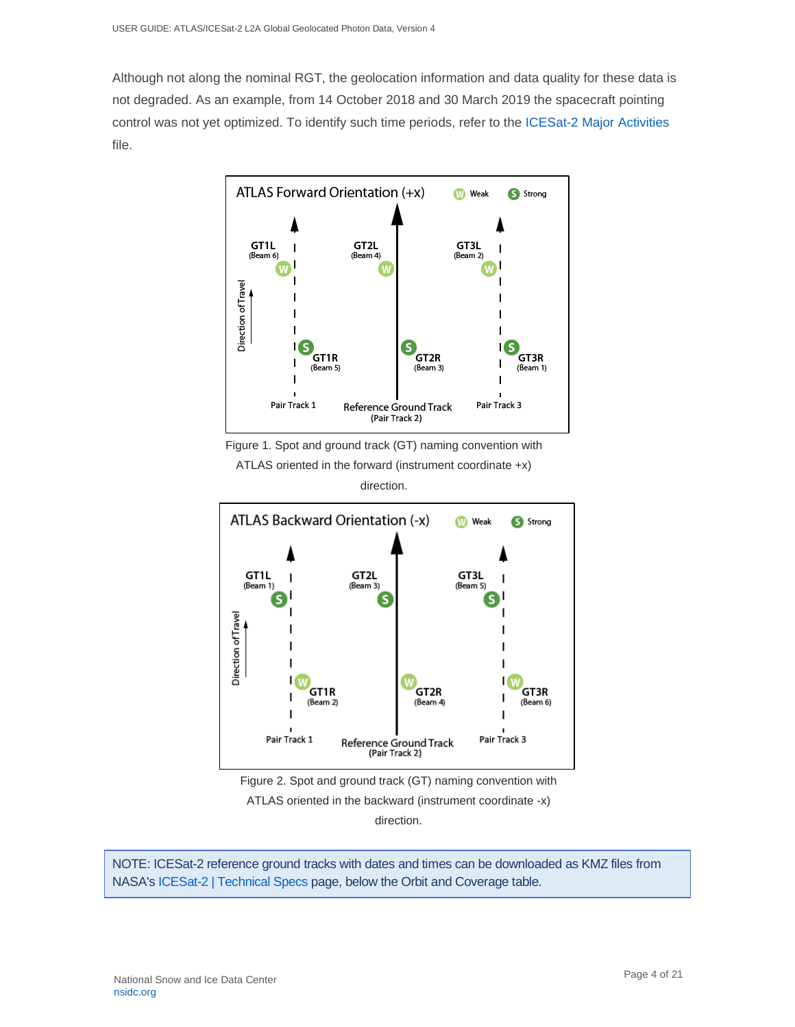Although not along the nominal RGT, the geolocation information and data quality for these data is not degraded. As an example, from 14 October 2018 and 30 March 2019 the spacecraft pointing control was not yet optimized. To identify such time periods, refer to the [ICESat-2 Major Activities](https://nsidc.org/sites/nsidc.org/files/technical-references/ICESat2_major_activities.xlsx) file.



Figure 1. Spot and ground track (GT) naming convention with

ATLAS oriented in the forward (instrument coordinate +x) direction.





NOTE: ICESat-2 reference ground tracks with dates and times can be downloaded as KMZ files from NASA'[s ICESat-2 | Technical Specs](https://icesat-2.gsfc.nasa.gov/science/specs) page, below the Orbit and Coverage table.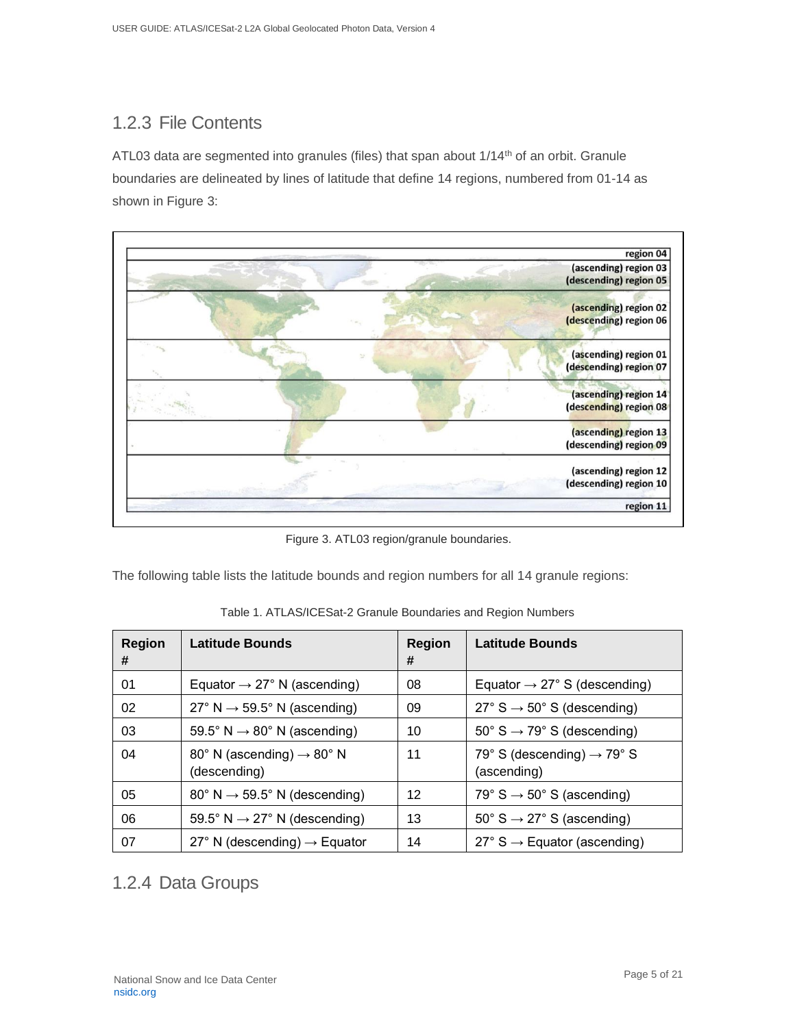# <span id="page-5-0"></span>1.2.3 File Contents

ATL03 data are segmented into granules (files) that span about  $1/14<sup>th</sup>$  of an orbit. Granule boundaries are delineated by lines of latitude that define 14 regions, numbered from 01-14 as shown in Figure 3:



Figure 3. ATL03 region/granule boundaries.

The following table lists the latitude bounds and region numbers for all 14 granule regions:

| <b>Region</b><br># | Latitude Bounds                                       | <b>Region</b><br># | <b>Latitude Bounds</b>                                |
|--------------------|-------------------------------------------------------|--------------------|-------------------------------------------------------|
| 01                 | Equator $\rightarrow$ 27° N (ascending)               | 08                 | Equator $\rightarrow$ 27° S (descending)              |
| 02                 | $27^{\circ}$ N $\rightarrow$ 59.5° N (ascending)      | 09                 | $27^{\circ}$ S $\rightarrow$ 50° S (descending)       |
| 03                 | 59.5° N $\rightarrow$ 80° N (ascending)               | 10                 | $50^{\circ}$ S $\rightarrow$ 79° S (descending)       |
| 04                 | 80° N (ascending) $\rightarrow$ 80° N<br>(descending) | 11                 | 79° S (descending) $\rightarrow$ 79° S<br>(ascending) |
| 05                 | $80^{\circ}$ N $\rightarrow$ 59.5° N (descending)     | 12                 | 79° S $\rightarrow$ 50° S (ascending)                 |
| 06                 | 59.5° N $\rightarrow$ 27° N (descending)              | 13                 | $50^{\circ}$ S $\rightarrow$ 27° S (ascending)        |
| 07                 | 27° N (descending) $\rightarrow$ Equator              | 14                 | $27^{\circ}$ S $\rightarrow$ Equator (ascending)      |

Table 1. ATLAS/ICESat-2 Granule Boundaries and Region Numbers

## <span id="page-5-1"></span>1.2.4 Data Groups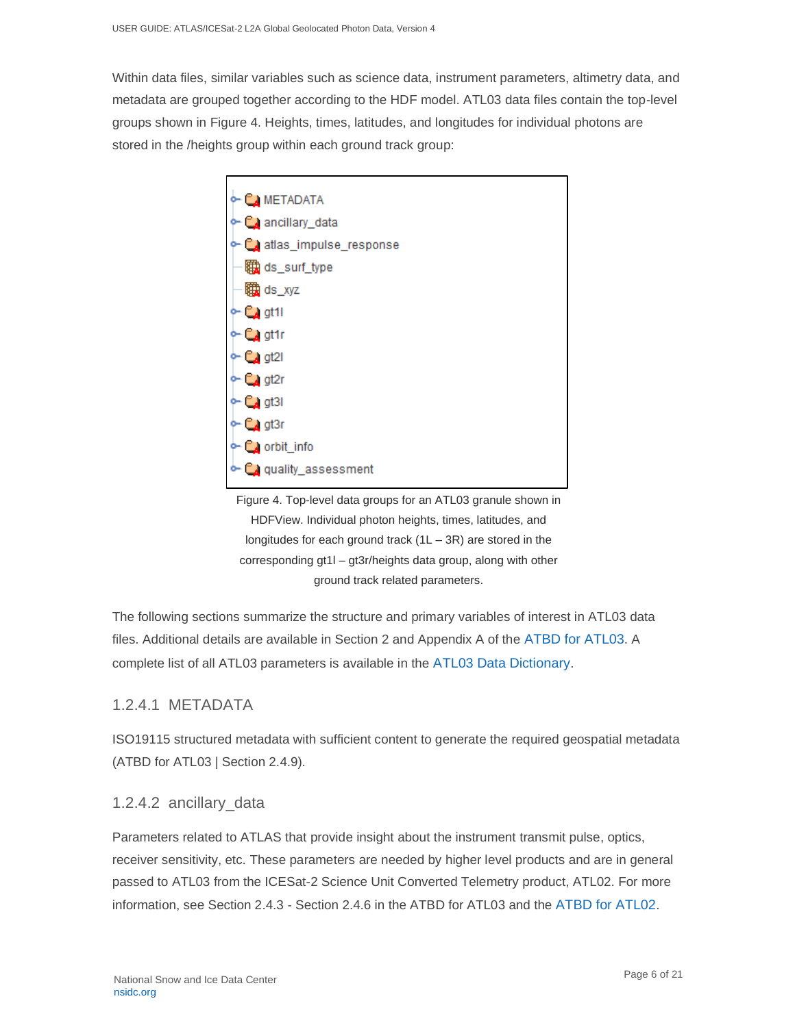Within data files, similar variables such as science data, instrument parameters, altimetry data, and metadata are grouped together according to the HDF model. ATL03 data files contain the top-level groups shown in Figure 4. Heights, times, latitudes, and longitudes for individual photons are stored in the /heights group within each ground track group:



Figure 4. Top-level data groups for an ATL03 granule shown in HDFView. Individual photon heights, times, latitudes, and longitudes for each ground track  $(1L - 3R)$  are stored in the corresponding gt1l – gt3r/heights data group, along with other ground track related parameters.

The following sections summarize the structure and primary variables of interest in ATL03 data files. Additional details are available in Section 2 and Appendix A of the [ATBD for ATL03](https://nsidc.org/sites/nsidc.org/files/technical-references/ICESat2_ATL03_ATBD_r004.pdf). A complete list of all ATL03 parameters is available in the [ATL03 Data Dictionary](https://nsidc.org/sites/nsidc.org/files/technical-references/ICESat2_ATL03_data_dict_v004.pdf).

### 1.2.4.1 METADATA

ISO19115 structured metadata with sufficient content to generate the required geospatial metadata (ATBD for ATL03 | Section 2.4.9).

### 1.2.4.2 ancillary\_data

Parameters related to ATLAS that provide insight about the instrument transmit pulse, optics, receiver sensitivity, etc. These parameters are needed by higher level products and are in general passed to ATL03 from the ICESat-2 Science Unit Converted Telemetry product, ATL02. For more information, see Section 2.4.3 - Section 2.4.6 in the ATBD for ATL03 and the [ATBD for ATL02](https://nsidc.org/sites/nsidc.org/files/technical-references/ICESat2_ATL02_ATBD_r004.pdf).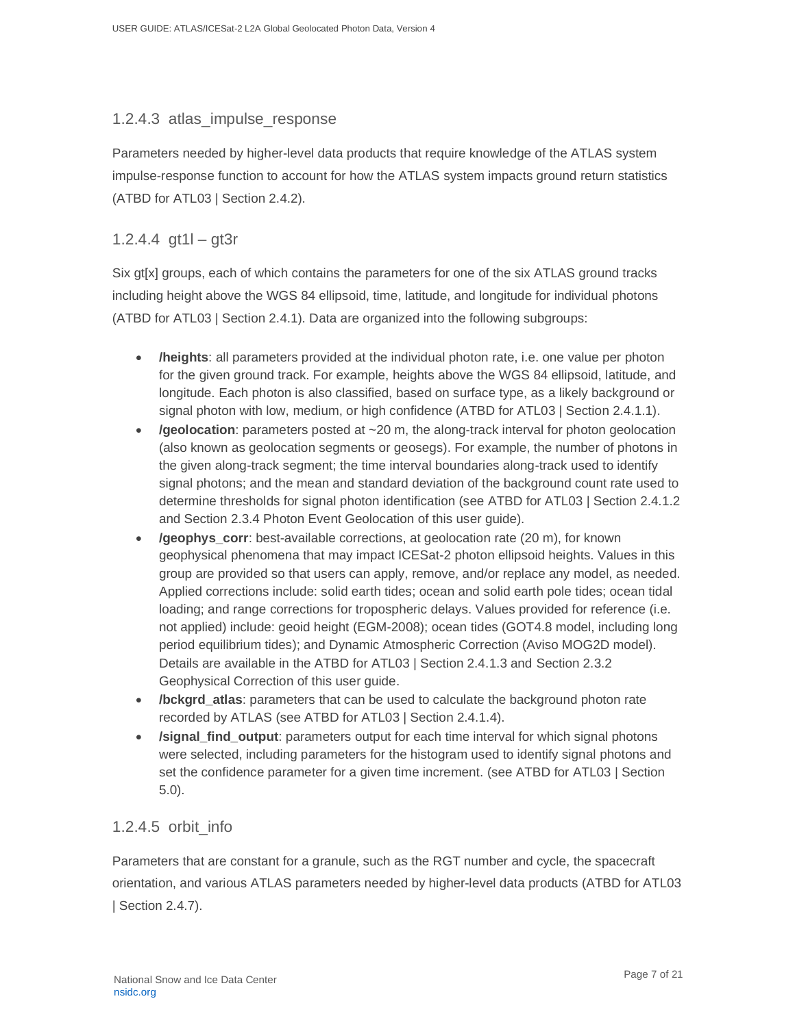#### 1.2.4.3 atlas\_impulse\_response

Parameters needed by higher-level data products that require knowledge of the ATLAS system impulse-response function to account for how the ATLAS system impacts ground return statistics (ATBD for ATL03 | Section 2.4.2).

### 1.2.4.4 gt1l – gt3r

Six gt[x] groups, each of which contains the parameters for one of the six ATLAS ground tracks including height above the WGS 84 ellipsoid, time, latitude, and longitude for individual photons (ATBD for ATL03 | Section 2.4.1). Data are organized into the following subgroups:

- **/heights**: all parameters provided at the individual photon rate, i.e. one value per photon for the given ground track. For example, heights above the WGS 84 ellipsoid, latitude, and longitude. Each photon is also classified, based on surface type, as a likely background or signal photon with low, medium, or high confidence (ATBD for ATL03 | Section 2.4.1.1).
- **/geolocation**: parameters posted at ~20 m, the along-track interval for photon geolocation (also known as geolocation segments or geosegs). For example, the number of photons in the given along-track segment; the time interval boundaries along-track used to identify signal photons; and the mean and standard deviation of the background count rate used to determine thresholds for signal photon identification (see ATBD for ATL03 | Section 2.4.1.2 and Section 2.3.4 Photon Event Geolocation of this user guide).
- **/geophys\_corr**: best-available corrections, at geolocation rate (20 m), for known geophysical phenomena that may impact ICESat-2 photon ellipsoid heights. Values in this group are provided so that users can apply, remove, and/or replace any model, as needed. Applied corrections include: solid earth tides; ocean and solid earth pole tides; ocean tidal loading; and range corrections for tropospheric delays. Values provided for reference (i.e. not applied) include: geoid height (EGM-2008); ocean tides (GOT4.8 model, including long period equilibrium tides); and Dynamic Atmospheric Correction (Aviso MOG2D model). Details are available in the ATBD for ATL03 | Section 2.4.1.3 and Section 2.3.2 Geophysical Correction of this user guide.
- **/bckgrd\_atlas**: parameters that can be used to calculate the background photon rate recorded by ATLAS (see ATBD for ATL03 | Section 2.4.1.4).
- **/signal\_find\_output**: parameters output for each time interval for which signal photons were selected, including parameters for the histogram used to identify signal photons and set the confidence parameter for a given time increment. (see ATBD for ATL03 | Section 5.0).

### 1.2.4.5 orbit\_info

Parameters that are constant for a granule, such as the RGT number and cycle, the spacecraft orientation, and various ATLAS parameters needed by higher-level data products (ATBD for ATL03 | Section 2.4.7).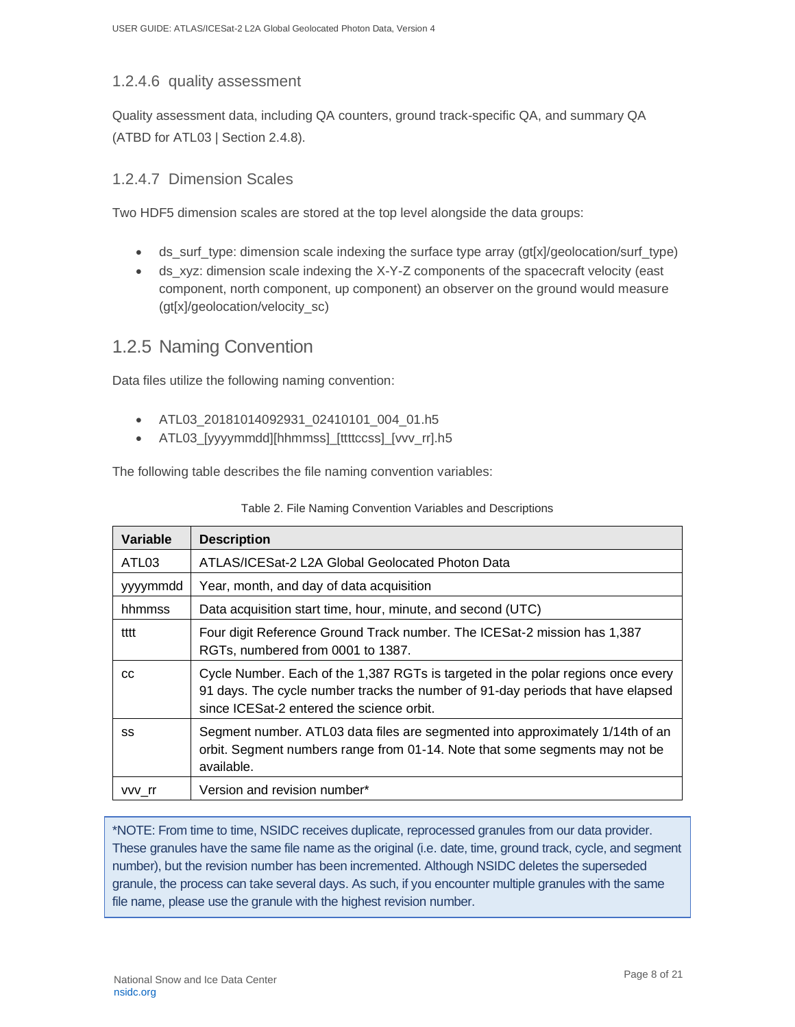### 1.2.4.6 quality assessment

Quality assessment data, including QA counters, ground track-specific QA, and summary QA (ATBD for ATL03 | Section 2.4.8).

### 1.2.4.7 Dimension Scales

Two HDF5 dimension scales are stored at the top level alongside the data groups:

- ds surf type: dimension scale indexing the surface type array (gt[x]/geolocation/surf type)
- ds\_xyz: dimension scale indexing the X-Y-Z components of the spacecraft velocity (east component, north component, up component) an observer on the ground would measure (gt[x]/geolocation/velocity\_sc)

### <span id="page-8-0"></span>1.2.5 Naming Convention

Data files utilize the following naming convention:

- ATL03\_20181014092931\_02410101\_004\_01.h5
- ATL03 [yyyymmdd][hhmmss] [ttttccss] [vvv\_rr].h5

The following table describes the file naming convention variables:

| Variable          | <b>Description</b>                                                                                                                                                                                               |
|-------------------|------------------------------------------------------------------------------------------------------------------------------------------------------------------------------------------------------------------|
| ATL <sub>03</sub> | ATLAS/ICESat-2 L2A Global Geolocated Photon Data                                                                                                                                                                 |
| yyyymmdd          | Year, month, and day of data acquisition                                                                                                                                                                         |
| hhmmss            | Data acquisition start time, hour, minute, and second (UTC)                                                                                                                                                      |
| tttt              | Four digit Reference Ground Track number. The ICESat-2 mission has 1,387<br>RGTs, numbered from 0001 to 1387.                                                                                                    |
| CC                | Cycle Number. Each of the 1,387 RGTs is targeted in the polar regions once every<br>91 days. The cycle number tracks the number of 91-day periods that have elapsed<br>since ICESat-2 entered the science orbit. |
| SS                | Segment number. ATL03 data files are segmented into approximately 1/14th of an<br>orbit. Segment numbers range from 01-14. Note that some segments may not be<br>available.                                      |
| vvv rr            | Version and revision number*                                                                                                                                                                                     |

| Table 2. File Naming Convention Variables and Descriptions |  |  |
|------------------------------------------------------------|--|--|
|                                                            |  |  |

\*NOTE: From time to time, NSIDC receives duplicate, reprocessed granules from our data provider. These granules have the same file name as the original (i.e. date, time, ground track, cycle, and segment number), but the revision number has been incremented. Although NSIDC deletes the superseded granule, the process can take several days. As such, if you encounter multiple granules with the same file name, please use the granule with the highest revision number.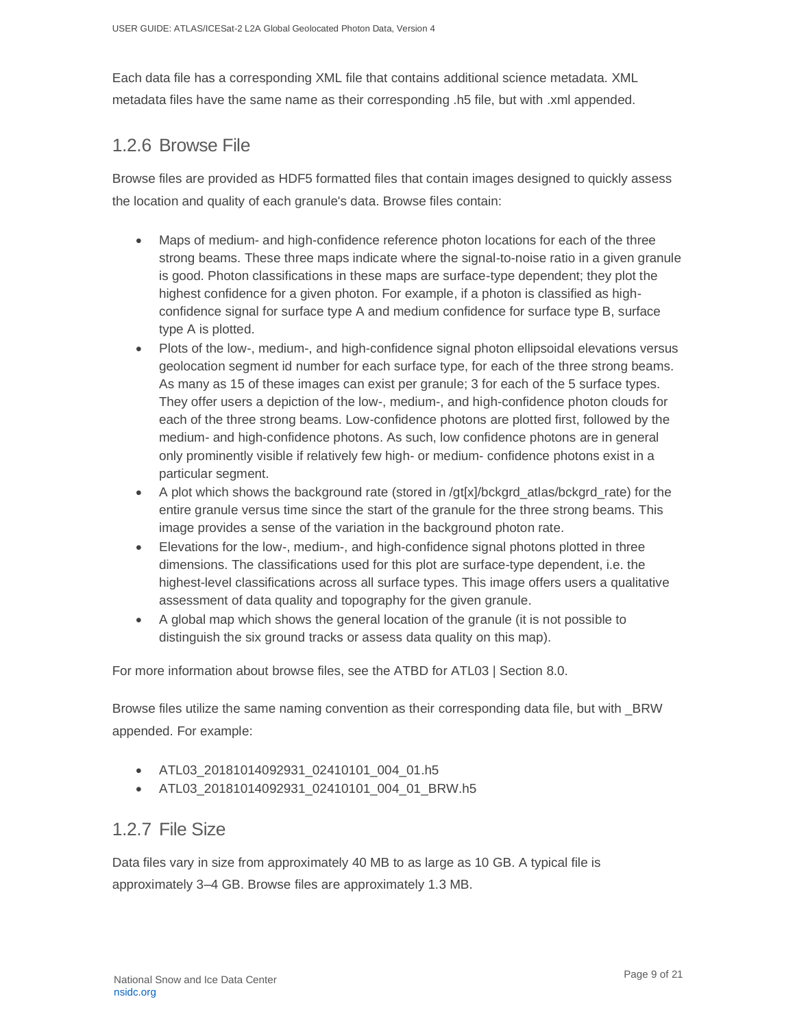Each data file has a corresponding XML file that contains additional science metadata. XML metadata files have the same name as their corresponding .h5 file, but with .xml appended.

### <span id="page-9-0"></span>1.2.6 Browse File

Browse files are provided as HDF5 formatted files that contain images designed to quickly assess the location and quality of each granule's data. Browse files contain:

- Maps of medium- and high-confidence reference photon locations for each of the three strong beams. These three maps indicate where the signal-to-noise ratio in a given granule is good. Photon classifications in these maps are surface-type dependent; they plot the highest confidence for a given photon. For example, if a photon is classified as highconfidence signal for surface type A and medium confidence for surface type B, surface type A is plotted.
- Plots of the low-, medium-, and high-confidence signal photon ellipsoidal elevations versus geolocation segment id number for each surface type, for each of the three strong beams. As many as 15 of these images can exist per granule; 3 for each of the 5 surface types. They offer users a depiction of the low-, medium-, and high-confidence photon clouds for each of the three strong beams. Low-confidence photons are plotted first, followed by the medium- and high-confidence photons. As such, low confidence photons are in general only prominently visible if relatively few high- or medium- confidence photons exist in a particular segment.
- A plot which shows the background rate (stored in /gt[x]/bckgrd\_atlas/bckgrd\_rate) for the entire granule versus time since the start of the granule for the three strong beams. This image provides a sense of the variation in the background photon rate.
- Elevations for the low-, medium-, and high-confidence signal photons plotted in three dimensions. The classifications used for this plot are surface-type dependent, i.e. the highest-level classifications across all surface types. This image offers users a qualitative assessment of data quality and topography for the given granule.
- A global map which shows the general location of the granule (it is not possible to distinguish the six ground tracks or assess data quality on this map).

For more information about browse files, see the ATBD for ATL03 | Section 8.0.

Browse files utilize the same naming convention as their corresponding data file, but with \_BRW appended. For example:

- ATL03\_20181014092931\_02410101\_004\_01.h5
- ATL03\_20181014092931\_02410101\_004\_01\_BRW.h5

### <span id="page-9-1"></span>1.2.7 File Size

Data files vary in size from approximately 40 MB to as large as 10 GB. A typical file is approximately 3–4 GB. Browse files are approximately 1.3 MB.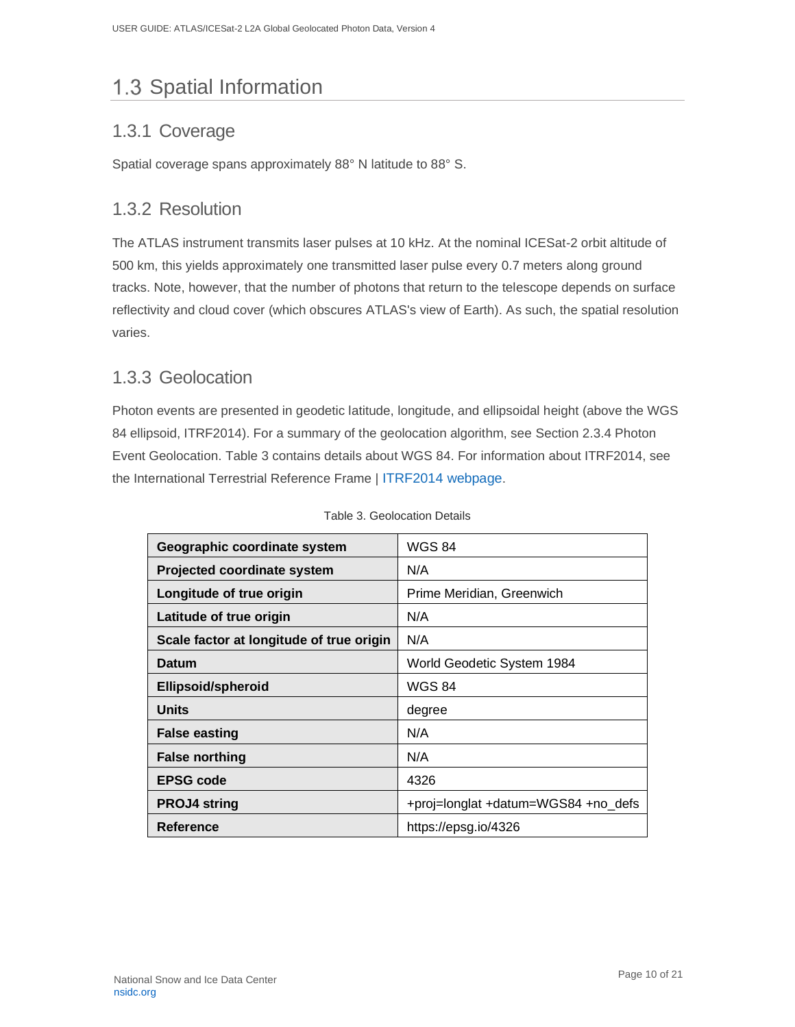# <span id="page-10-0"></span>1.3 Spatial Information

## <span id="page-10-1"></span>1.3.1 Coverage

Spatial coverage spans approximately 88° N latitude to 88° S.

## <span id="page-10-2"></span>1.3.2 Resolution

The ATLAS instrument transmits laser pulses at 10 kHz. At the nominal ICESat-2 orbit altitude of 500 km, this yields approximately one transmitted laser pulse every 0.7 meters along ground tracks. Note, however, that the number of photons that return to the telescope depends on surface reflectivity and cloud cover (which obscures ATLAS's view of Earth). As such, the spatial resolution varies.

### <span id="page-10-3"></span>1.3.3 Geolocation

Photon events are presented in geodetic latitude, longitude, and ellipsoidal height (above the WGS 84 ellipsoid, ITRF2014). For a summary of the geolocation algorithm, see Section 2.3.4 Photon Event Geolocation. Table 3 contains details about WGS 84. For information about ITRF2014, see the International Terrestrial Reference Frame | [ITRF2014 webpage](http://itrf.ign.fr/ITRF_solutions/2014/).

| Geographic coordinate system             | <b>WGS 84</b>                       |  |  |
|------------------------------------------|-------------------------------------|--|--|
| <b>Projected coordinate system</b>       | N/A                                 |  |  |
| Longitude of true origin                 | Prime Meridian, Greenwich           |  |  |
| Latitude of true origin                  | N/A                                 |  |  |
| Scale factor at longitude of true origin | N/A                                 |  |  |
| Datum                                    | World Geodetic System 1984          |  |  |
| <b>Ellipsoid/spheroid</b>                | WGS 84                              |  |  |
| Units                                    | degree                              |  |  |
| <b>False easting</b>                     | N/A                                 |  |  |
| <b>False northing</b>                    | N/A                                 |  |  |
| EPSG code                                | 4326                                |  |  |
| <b>PROJ4 string</b>                      | +proj=longlat +datum=WGS84 +no_defs |  |  |
| Reference                                | https://epsg.io/4326                |  |  |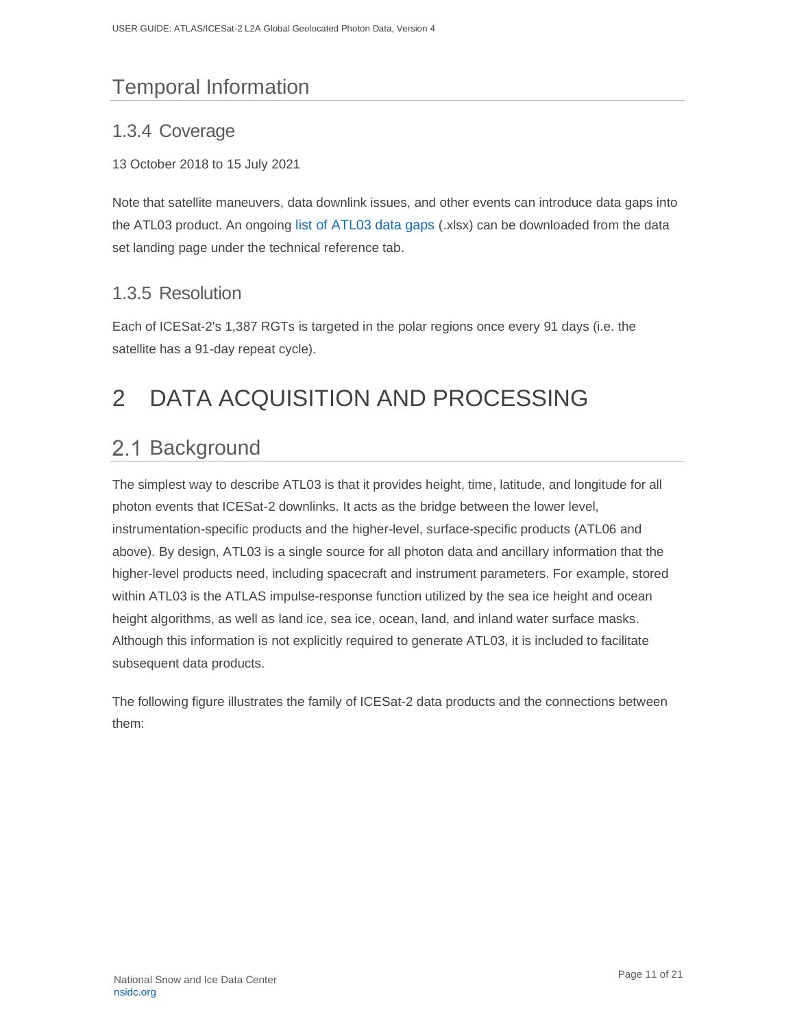# <span id="page-11-0"></span>Temporal Information

## <span id="page-11-1"></span>1.3.4 Coverage

#### 13 October 2018 to 15 July 2021

Note that satellite maneuvers, data downlink issues, and other events can introduce data gaps into the ATL03 product. An ongoing [list of ATL03 data gaps](https://nsidc.org/sites/nsidc.org/files/technical-references/ICESat-2_data_gaps.xlsx) (.xlsx) can be downloaded from the data set landing page under the technical reference tab.

## <span id="page-11-2"></span>1.3.5 Resolution

Each of ICESat-2's 1,387 RGTs is targeted in the polar regions once every 91 days (i.e. the satellite has a 91-day repeat cycle).

# <span id="page-11-3"></span>2 DATA ACQUISITION AND PROCESSING

# <span id="page-11-4"></span>2.1 Background

The simplest way to describe ATL03 is that it provides height, time, latitude, and longitude for all photon events that ICESat-2 downlinks. It acts as the bridge between the lower level, instrumentation-specific products and the higher-level, surface-specific products (ATL06 and above). By design, ATL03 is a single source for all photon data and ancillary information that the higher-level products need, including spacecraft and instrument parameters. For example, stored within ATL03 is the ATLAS impulse-response function utilized by the sea ice height and ocean height algorithms, as well as land ice, sea ice, ocean, land, and inland water surface masks. Although this information is not explicitly required to generate ATL03, it is included to facilitate subsequent data products.

The following figure illustrates the family of ICESat-2 data products and the connections between them: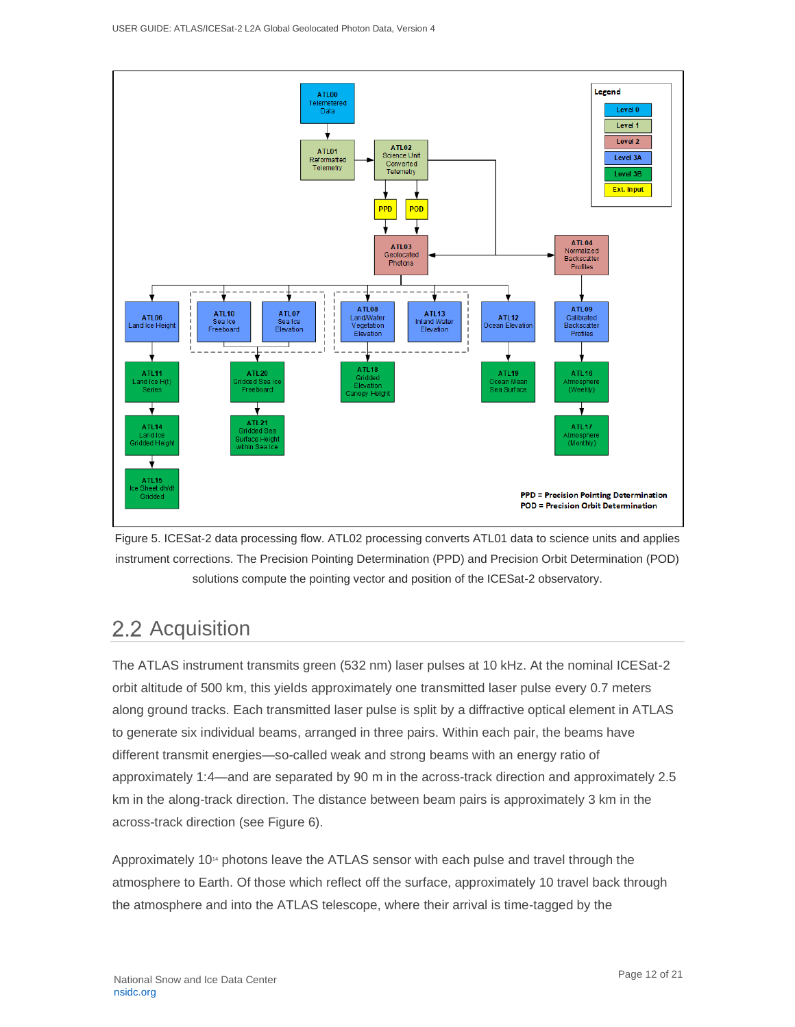

Figure 5. ICESat-2 data processing flow. ATL02 processing converts ATL01 data to science units and applies instrument corrections. The Precision Pointing Determination (PPD) and Precision Orbit Determination (POD) solutions compute the pointing vector and position of the ICESat-2 observatory.

# <span id="page-12-0"></span>2.2 Acquisition

The ATLAS instrument transmits green (532 nm) laser pulses at 10 kHz. At the nominal ICESat-2 orbit altitude of 500 km, this yields approximately one transmitted laser pulse every 0.7 meters along ground tracks. Each transmitted laser pulse is split by a diffractive optical element in ATLAS to generate six individual beams, arranged in three pairs. Within each pair, the beams have different transmit energies—so-called weak and strong beams with an energy ratio of approximately 1:4—and are separated by 90 m in the across-track direction and approximately 2.5 km in the along-track direction. The distance between beam pairs is approximately 3 km in the across-track direction (see Figure 6).

Approximately 10<sup>14</sup> photons leave the ATLAS sensor with each pulse and travel through the atmosphere to Earth. Of those which reflect off the surface, approximately 10 travel back through the atmosphere and into the ATLAS telescope, where their arrival is time-tagged by the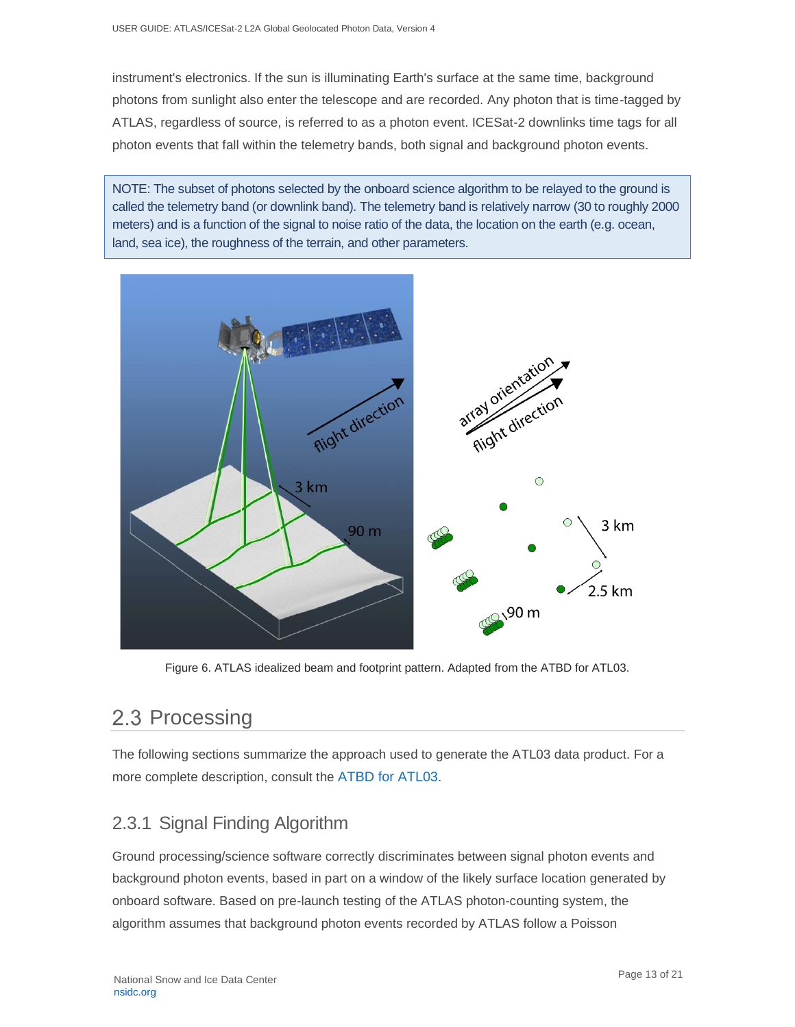instrument's electronics. If the sun is illuminating Earth's surface at the same time, background photons from sunlight also enter the telescope and are recorded. Any photon that is time-tagged by ATLAS, regardless of source, is referred to as a photon event. ICESat-2 downlinks time tags for all photon events that fall within the telemetry bands, both signal and background photon events.

NOTE: The subset of photons selected by the onboard science algorithm to be relayed to the ground is called the telemetry band (or downlink band). The telemetry band is relatively narrow (30 to roughly 2000 meters) and is a function of the signal to noise ratio of the data, the location on the earth (e.g. ocean, land, sea ice), the roughness of the terrain, and other parameters.



Figure 6. ATLAS idealized beam and footprint pattern. Adapted from the ATBD for ATL03.

# <span id="page-13-0"></span>2.3 Processing

The following sections summarize the approach used to generate the ATL03 data product. For a more complete description, consult the [ATBD for ATL03](https://nsidc.org/sites/nsidc.org/files/technical-references/ICESat2_ATL03_ATBD_r004.pdf).

## <span id="page-13-1"></span>2.3.1 Signal Finding Algorithm

Ground processing/science software correctly discriminates between signal photon events and background photon events, based in part on a window of the likely surface location generated by onboard software. Based on pre-launch testing of the ATLAS photon-counting system, the algorithm assumes that background photon events recorded by ATLAS follow a Poisson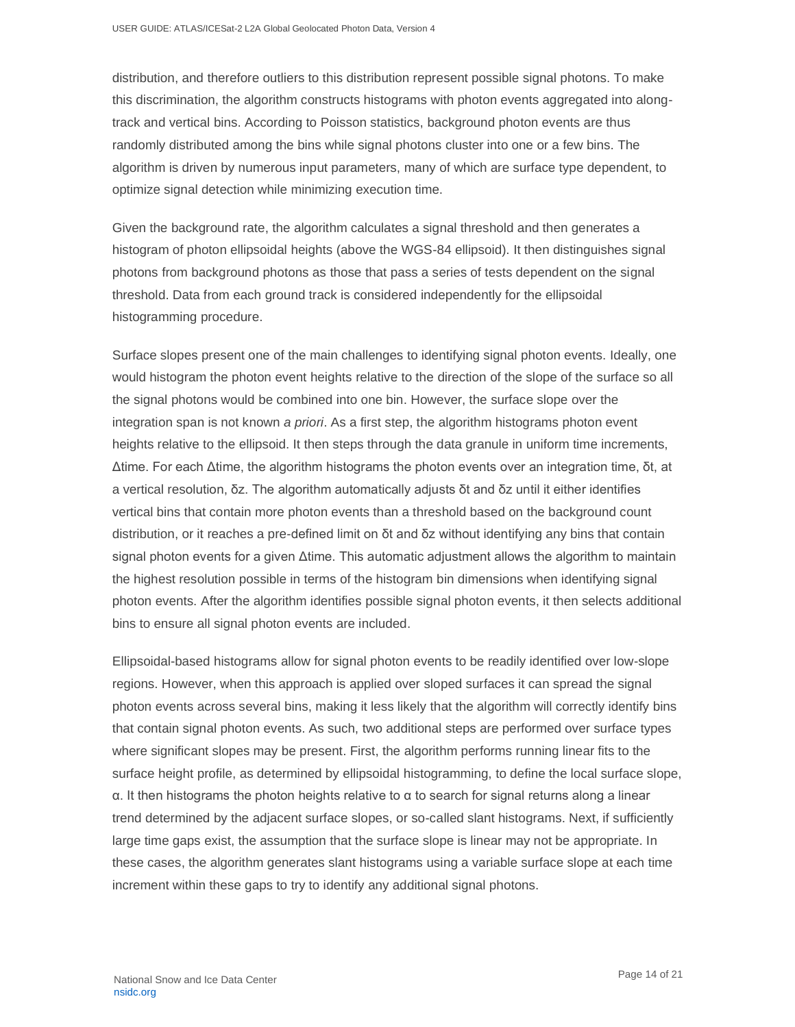distribution, and therefore outliers to this distribution represent possible signal photons. To make this discrimination, the algorithm constructs histograms with photon events aggregated into alongtrack and vertical bins. According to Poisson statistics, background photon events are thus randomly distributed among the bins while signal photons cluster into one or a few bins. The algorithm is driven by numerous input parameters, many of which are surface type dependent, to optimize signal detection while minimizing execution time.

Given the background rate, the algorithm calculates a signal threshold and then generates a histogram of photon ellipsoidal heights (above the WGS-84 ellipsoid). It then distinguishes signal photons from background photons as those that pass a series of tests dependent on the signal threshold. Data from each ground track is considered independently for the ellipsoidal histogramming procedure.

Surface slopes present one of the main challenges to identifying signal photon events. Ideally, one would histogram the photon event heights relative to the direction of the slope of the surface so all the signal photons would be combined into one bin. However, the surface slope over the integration span is not known *a priori*. As a first step, the algorithm histograms photon event heights relative to the ellipsoid. It then steps through the data granule in uniform time increments, Δtime. For each Δtime, the algorithm histograms the photon events over an integration time, δt, at a vertical resolution, δz. The algorithm automatically adjusts δt and δz until it either identifies vertical bins that contain more photon events than a threshold based on the background count distribution, or it reaches a pre-defined limit on δt and δz without identifying any bins that contain signal photon events for a given Δtime. This automatic adjustment allows the algorithm to maintain the highest resolution possible in terms of the histogram bin dimensions when identifying signal photon events. After the algorithm identifies possible signal photon events, it then selects additional bins to ensure all signal photon events are included.

Ellipsoidal-based histograms allow for signal photon events to be readily identified over low-slope regions. However, when this approach is applied over sloped surfaces it can spread the signal photon events across several bins, making it less likely that the algorithm will correctly identify bins that contain signal photon events. As such, two additional steps are performed over surface types where significant slopes may be present. First, the algorithm performs running linear fits to the surface height profile, as determined by ellipsoidal histogramming, to define the local surface slope, α. It then histograms the photon heights relative to α to search for signal returns along a linear trend determined by the adjacent surface slopes, or so-called slant histograms. Next, if sufficiently large time gaps exist, the assumption that the surface slope is linear may not be appropriate. In these cases, the algorithm generates slant histograms using a variable surface slope at each time increment within these gaps to try to identify any additional signal photons.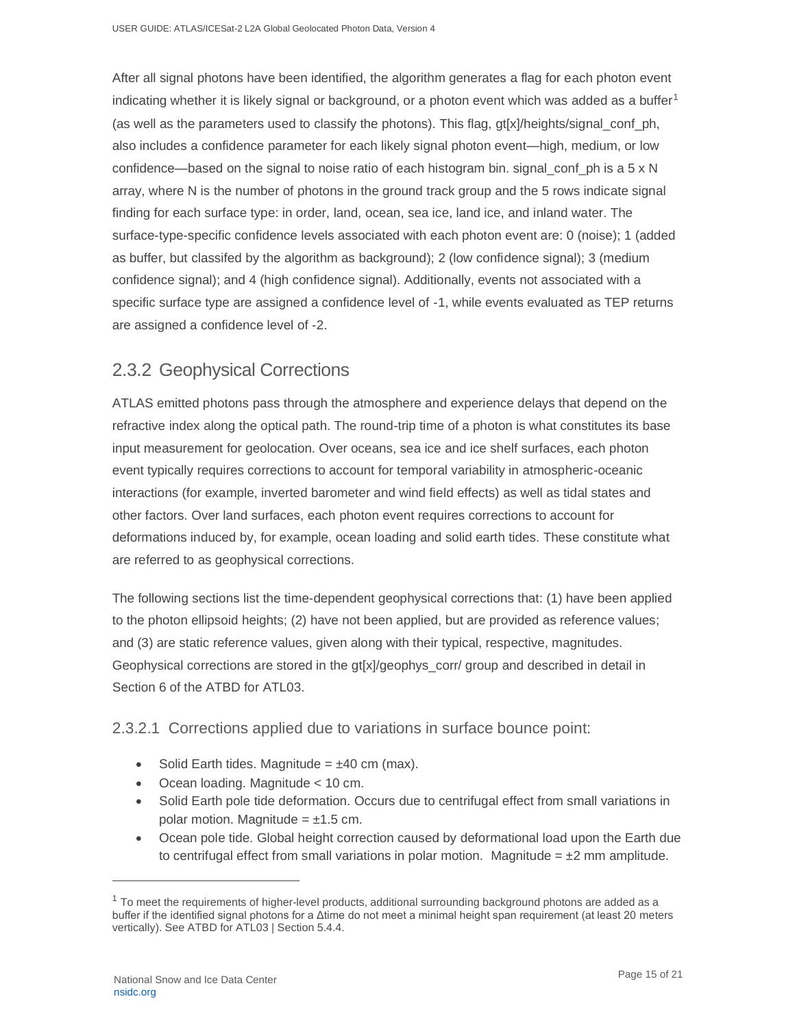After all signal photons have been identified, the algorithm generates a flag for each photon event indicating whether it is likely signal or background, or a photon event which was added as a buffer<sup>1</sup> (as well as the parameters used to classify the photons). This flag, gt[x]/heights/signal\_conf\_ph, also includes a confidence parameter for each likely signal photon event—high, medium, or low confidence—based on the signal to noise ratio of each histogram bin. signal\_conf\_ph is a 5 x N array, where N is the number of photons in the ground track group and the 5 rows indicate signal finding for each surface type: in order, land, ocean, sea ice, land ice, and inland water. The surface-type-specific confidence levels associated with each photon event are: 0 (noise); 1 (added as buffer, but classifed by the algorithm as background); 2 (low confidence signal); 3 (medium confidence signal); and 4 (high confidence signal). Additionally, events not associated with a specific surface type are assigned a confidence level of -1, while events evaluated as TEP returns are assigned a confidence level of -2.

### <span id="page-15-0"></span>2.3.2 Geophysical Corrections

ATLAS emitted photons pass through the atmosphere and experience delays that depend on the refractive index along the optical path. The round-trip time of a photon is what constitutes its base input measurement for geolocation. Over oceans, sea ice and ice shelf surfaces, each photon event typically requires corrections to account for temporal variability in atmospheric-oceanic interactions (for example, inverted barometer and wind field effects) as well as tidal states and other factors. Over land surfaces, each photon event requires corrections to account for deformations induced by, for example, ocean loading and solid earth tides. These constitute what are referred to as geophysical corrections.

The following sections list the time-dependent geophysical corrections that: (1) have been applied to the photon ellipsoid heights; (2) have not been applied, but are provided as reference values; and (3) are static reference values, given along with their typical, respective, magnitudes. Geophysical corrections are stored in the gt[x]/geophys\_corr/ group and described in detail in Section 6 of the ATBD for ATL03.

#### 2.3.2.1 Corrections applied due to variations in surface bounce point:

- Solid Earth tides. Magnitude =  $\pm 40$  cm (max).
- Ocean loading. Magnitude < 10 cm.
- Solid Earth pole tide deformation. Occurs due to centrifugal effect from small variations in polar motion. Magnitude =  $\pm 1.5$  cm.
- Ocean pole tide. Global height correction caused by deformational load upon the Earth due to centrifugal effect from small variations in polar motion. Magnitude =  $\pm 2$  mm amplitude.

 $1$  To meet the requirements of higher-level products, additional surrounding background photons are added as a buffer if the identified signal photons for a Δtime do not meet a minimal height span requirement (at least 20 meters vertically). See ATBD for ATL03 | Section 5.4.4.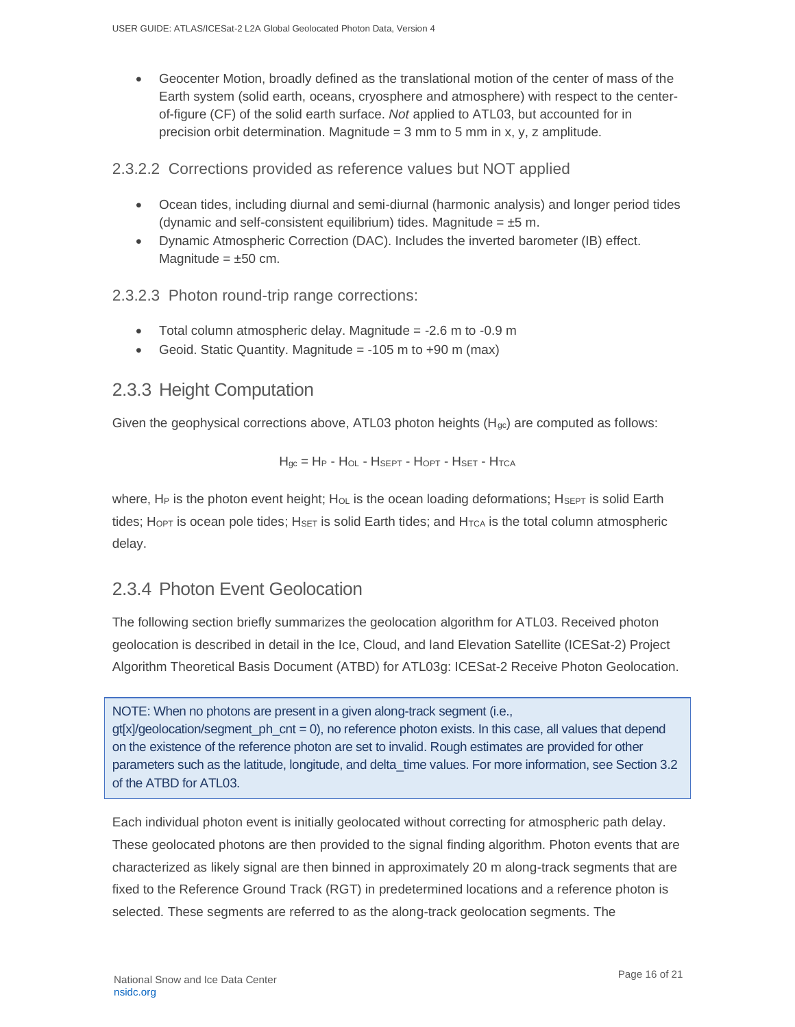• Geocenter Motion, broadly defined as the translational motion of the center of mass of the Earth system (solid earth, oceans, cryosphere and atmosphere) with respect to the centerof-figure (CF) of the solid earth surface. *Not* applied to ATL03, but accounted for in precision orbit determination. Magnitude =  $3 \text{ mm}$  to  $5 \text{ mm}$  in x, y, z amplitude.

2.3.2.2 Corrections provided as reference values but NOT applied

- Ocean tides, including diurnal and semi-diurnal (harmonic analysis) and longer period tides (dynamic and self-consistent equilibrium) tides. Magnitude =  $\pm 5$  m.
- Dynamic Atmospheric Correction (DAC). Includes the inverted barometer (IB) effect. Magnitude  $= \pm 50$  cm.

2.3.2.3 Photon round-trip range corrections:

- Total column atmospheric delay. Magnitude  $= -2.6$  m to  $-0.9$  m
- Geoid. Static Quantity. Magnitude  $= -105$  m to  $+90$  m (max)

### <span id="page-16-0"></span>2.3.3 Height Computation

Given the geophysical corrections above,  $ATL03$  photon heights ( $H<sub>ac</sub>$ ) are computed as follows:

H<sub>gc</sub> = H<sub>P</sub> - H<sub>OL</sub> - H<sub>SEPT</sub> - H<sub>OPT</sub> - H<sub>SET</sub> - H<sub>TCA</sub>

where, H<sub>P</sub> is the photon event height; H<sub>OL</sub> is the ocean loading deformations; HsEPT is solid Earth tides; Ho<sub>PT</sub> is ocean pole tides; H<sub>SET</sub> is solid Earth tides; and H<sub>TCA</sub> is the total column atmospheric delay.

### <span id="page-16-1"></span>2.3.4 Photon Event Geolocation

The following section briefly summarizes the geolocation algorithm for ATL03. Received photon geolocation is described in detail in the Ice, Cloud, and land Elevation Satellite (ICESat-2) Project Algorithm Theoretical Basis Document (ATBD) for ATL03g: ICESat-2 Receive Photon Geolocation.

NOTE: When no photons are present in a given along-track segment (i.e.,  $qf[x]/qeolocation/segment$  ph  $cnt = 0$ , no reference photon exists. In this case, all values that depend on the existence of the reference photon are set to invalid. Rough estimates are provided for other parameters such as the latitude, longitude, and delta\_time values. For more information, see Section 3.2 of the ATBD for ATL03.

Each individual photon event is initially geolocated without correcting for atmospheric path delay. These geolocated photons are then provided to the signal finding algorithm. Photon events that are characterized as likely signal are then binned in approximately 20 m along-track segments that are fixed to the Reference Ground Track (RGT) in predetermined locations and a reference photon is selected. These segments are referred to as the along-track geolocation segments. The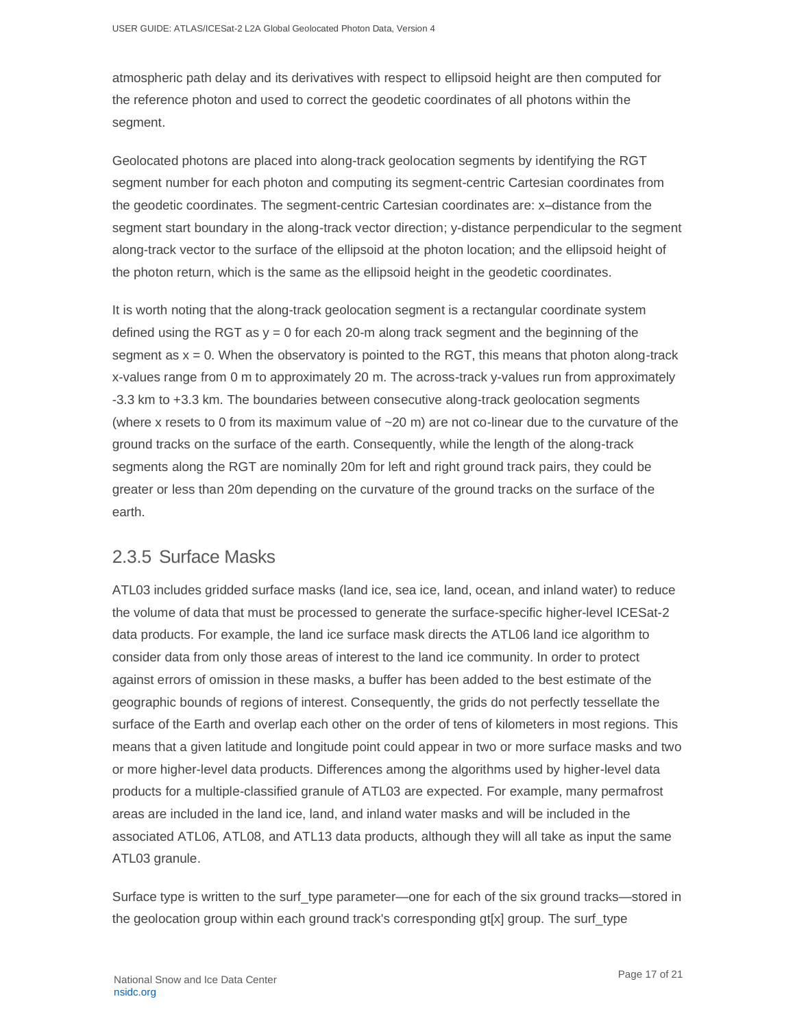atmospheric path delay and its derivatives with respect to ellipsoid height are then computed for the reference photon and used to correct the geodetic coordinates of all photons within the segment.

Geolocated photons are placed into along-track geolocation segments by identifying the RGT segment number for each photon and computing its segment-centric Cartesian coordinates from the geodetic coordinates. The segment-centric Cartesian coordinates are: x–distance from the segment start boundary in the along-track vector direction; y-distance perpendicular to the segment along-track vector to the surface of the ellipsoid at the photon location; and the ellipsoid height of the photon return, which is the same as the ellipsoid height in the geodetic coordinates.

It is worth noting that the along-track geolocation segment is a rectangular coordinate system defined using the RGT as  $y = 0$  for each 20-m along track segment and the beginning of the segment as  $x = 0$ . When the observatory is pointed to the RGT, this means that photon along-track x-values range from 0 m to approximately 20 m. The across-track y-values run from approximately -3.3 km to +3.3 km. The boundaries between consecutive along-track geolocation segments (where x resets to 0 from its maximum value of  $\sim$  20 m) are not co-linear due to the curvature of the ground tracks on the surface of the earth. Consequently, while the length of the along-track segments along the RGT are nominally 20m for left and right ground track pairs, they could be greater or less than 20m depending on the curvature of the ground tracks on the surface of the earth.

### <span id="page-17-0"></span>2.3.5 Surface Masks

ATL03 includes gridded surface masks (land ice, sea ice, land, ocean, and inland water) to reduce the volume of data that must be processed to generate the surface-specific higher-level ICESat-2 data products. For example, the land ice surface mask directs the ATL06 land ice algorithm to consider data from only those areas of interest to the land ice community. In order to protect against errors of omission in these masks, a buffer has been added to the best estimate of the geographic bounds of regions of interest. Consequently, the grids do not perfectly tessellate the surface of the Earth and overlap each other on the order of tens of kilometers in most regions. This means that a given latitude and longitude point could appear in two or more surface masks and two or more higher-level data products. Differences among the algorithms used by higher-level data products for a multiple-classified granule of ATL03 are expected. For example, many permafrost areas are included in the land ice, land, and inland water masks and will be included in the associated ATL06, ATL08, and ATL13 data products, although they will all take as input the same ATL03 granule.

Surface type is written to the surf\_type parameter—one for each of the six ground tracks—stored in the geolocation group within each ground track's corresponding gt[x] group. The surf\_type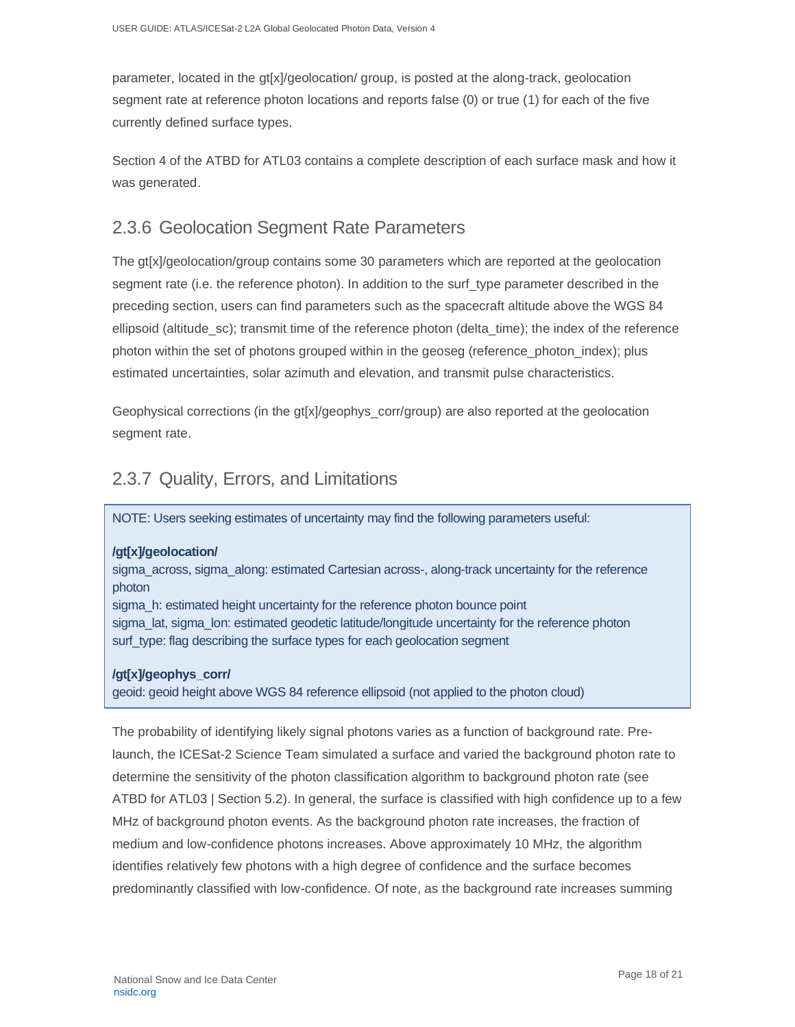parameter, located in the gt[x]/geolocation/ group, is posted at the along-track, geolocation segment rate at reference photon locations and reports false (0) or true (1) for each of the five currently defined surface types.

Section 4 of the ATBD for ATL03 contains a complete description of each surface mask and how it was generated.

### <span id="page-18-0"></span>2.3.6 Geolocation Segment Rate Parameters

The gt[x]/geolocation/group contains some 30 parameters which are reported at the geolocation segment rate (i.e. the reference photon). In addition to the surf\_type parameter described in the preceding section, users can find parameters such as the spacecraft altitude above the WGS 84 ellipsoid (altitude\_sc); transmit time of the reference photon (delta\_time); the index of the reference photon within the set of photons grouped within in the geoseg (reference photon index); plus estimated uncertainties, solar azimuth and elevation, and transmit pulse characteristics.

Geophysical corrections (in the gt[x]/geophys\_corr/group) are also reported at the geolocation segment rate.

### <span id="page-18-1"></span>2.3.7 Quality, Errors, and Limitations

NOTE: Users seeking estimates of uncertainty may find the following parameters useful:

#### **/gt[x]/geolocation/**

sigma\_across, sigma\_along: estimated Cartesian across-, along-track uncertainty for the reference photon

sigma\_h: estimated height uncertainty for the reference photon bounce point sigma\_lat, sigma\_lon: estimated geodetic latitude/longitude uncertainty for the reference photon surf\_type: flag describing the surface types for each geolocation segment

#### **/gt[x]/geophys\_corr/**

geoid: geoid height above WGS 84 reference ellipsoid (not applied to the photon cloud)

The probability of identifying likely signal photons varies as a function of background rate. Prelaunch, the ICESat-2 Science Team simulated a surface and varied the background photon rate to determine the sensitivity of the photon classification algorithm to background photon rate (see ATBD for ATL03 | Section 5.2). In general, the surface is classified with high confidence up to a few MHz of background photon events. As the background photon rate increases, the fraction of medium and low-confidence photons increases. Above approximately 10 MHz, the algorithm identifies relatively few photons with a high degree of confidence and the surface becomes predominantly classified with low-confidence. Of note, as the background rate increases summing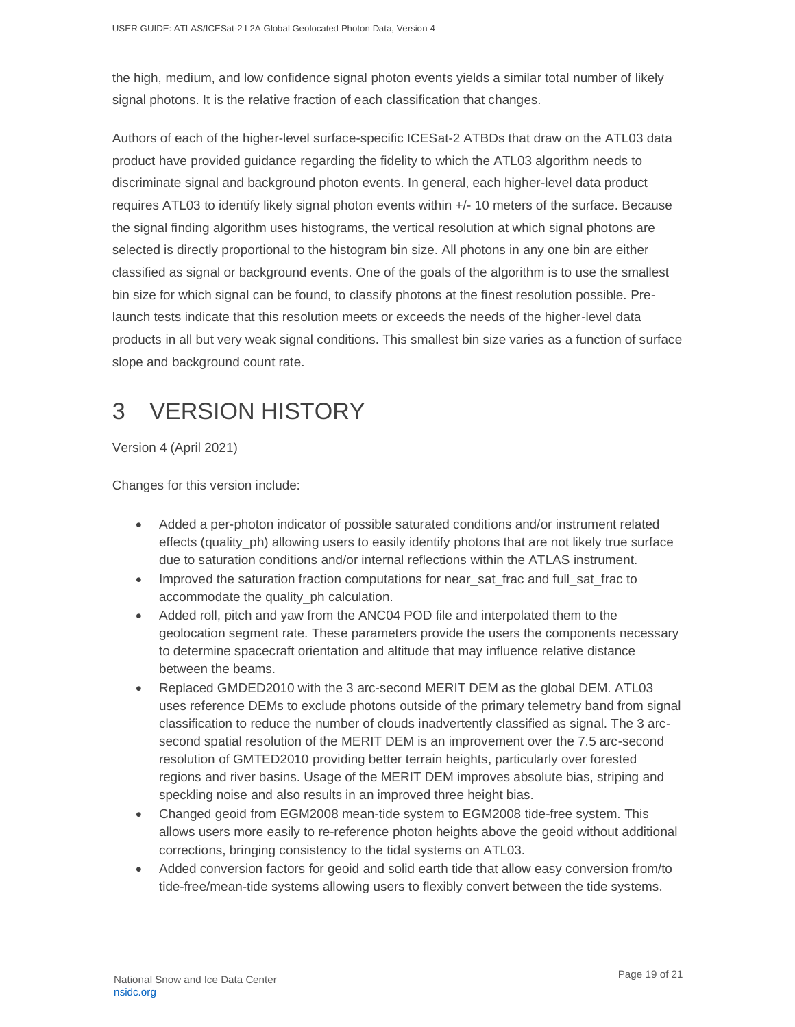the high, medium, and low confidence signal photon events yields a similar total number of likely signal photons. It is the relative fraction of each classification that changes.

Authors of each of the higher-level surface-specific ICESat-2 ATBDs that draw on the ATL03 data product have provided guidance regarding the fidelity to which the ATL03 algorithm needs to discriminate signal and background photon events. In general, each higher-level data product requires ATL03 to identify likely signal photon events within +/- 10 meters of the surface. Because the signal finding algorithm uses histograms, the vertical resolution at which signal photons are selected is directly proportional to the histogram bin size. All photons in any one bin are either classified as signal or background events. One of the goals of the algorithm is to use the smallest bin size for which signal can be found, to classify photons at the finest resolution possible. Prelaunch tests indicate that this resolution meets or exceeds the needs of the higher-level data products in all but very weak signal conditions. This smallest bin size varies as a function of surface slope and background count rate.

# <span id="page-19-0"></span>3 VERSION HISTORY

Version 4 (April 2021)

Changes for this version include:

- Added a per-photon indicator of possible saturated conditions and/or instrument related effects (quality\_ph) allowing users to easily identify photons that are not likely true surface due to saturation conditions and/or internal reflections within the ATLAS instrument.
- Improved the saturation fraction computations for near sat frac and full sat frac to accommodate the quality\_ph calculation.
- Added roll, pitch and yaw from the ANC04 POD file and interpolated them to the geolocation segment rate. These parameters provide the users the components necessary to determine spacecraft orientation and altitude that may influence relative distance between the beams.
- Replaced GMDED2010 with the 3 arc-second MERIT DEM as the global DEM. ATL03 uses reference DEMs to exclude photons outside of the primary telemetry band from signal classification to reduce the number of clouds inadvertently classified as signal. The 3 arcsecond spatial resolution of the MERIT DEM is an improvement over the 7.5 arc-second resolution of GMTED2010 providing better terrain heights, particularly over forested regions and river basins. Usage of the MERIT DEM improves absolute bias, striping and speckling noise and also results in an improved three height bias.
- Changed geoid from EGM2008 mean-tide system to EGM2008 tide-free system. This allows users more easily to re-reference photon heights above the geoid without additional corrections, bringing consistency to the tidal systems on ATL03.
- Added conversion factors for geoid and solid earth tide that allow easy conversion from/to tide-free/mean-tide systems allowing users to flexibly convert between the tide systems.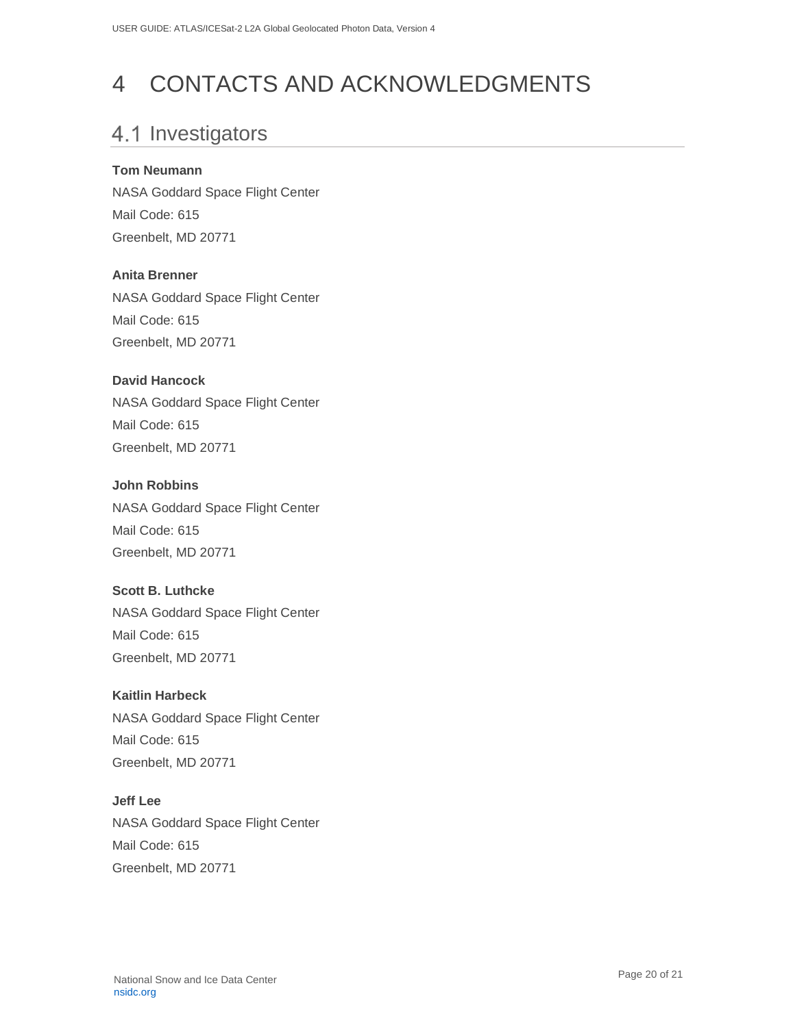# <span id="page-20-0"></span>4 CONTACTS AND ACKNOWLEDGMENTS

# <span id="page-20-1"></span>4.1 Investigators

#### **Tom Neumann**

NASA Goddard Space Flight Center Mail Code: 615 Greenbelt, MD 20771

#### **Anita Brenner**

NASA Goddard Space Flight Center Mail Code: 615 Greenbelt, MD 20771

#### **David Hancock**

NASA Goddard Space Flight Center Mail Code: 615 Greenbelt, MD 20771

#### **John Robbins**

NASA Goddard Space Flight Center Mail Code: 615 Greenbelt, MD 20771

#### **Scott B. Luthcke**

NASA Goddard Space Flight Center Mail Code: 615 Greenbelt, MD 20771

### **Kaitlin Harbeck**

NASA Goddard Space Flight Center Mail Code: 615 Greenbelt, MD 20771

#### **Jeff Lee**

NASA Goddard Space Flight Center Mail Code: 615 Greenbelt, MD 20771